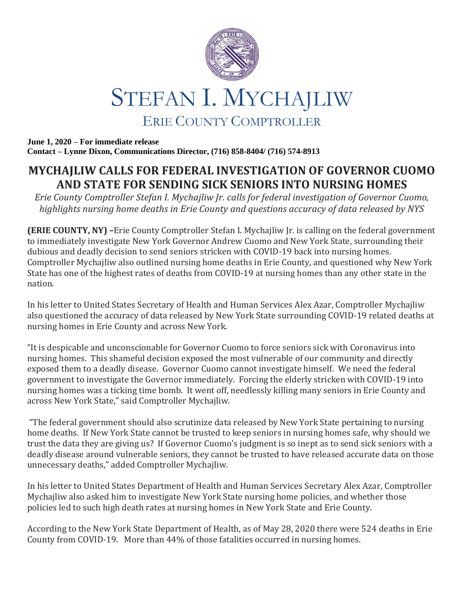

**June 1, 2020 – For immediate release Contact – Lynne Dixon, Communications Director, (716) 858-8404/ (716) 574-8913**

## **MYCHAJLIW CALLS FOR FEDERAL INVESTIGATION OF GOVERNOR CUOMO AND STATE FOR SENDING SICK SENIORS INTO NURSING HOMES**

*Erie County Comptroller Stefan I. Mychajliw Jr. calls for federal investigation of Governor Cuomo, highlights nursing home deaths in Erie County and questions accuracy of data released by NYS*

**(ERIE COUNTY, NY) –**Erie County Comptroller Stefan I. Mychajliw Jr. is calling on the federal government to immediately investigate New York Governor Andrew Cuomo and New York State, surrounding their dubious and deadly decision to send seniors stricken with COVID-19 back into nursing homes. Comptroller Mychajliw also outlined nursing home deaths in Erie County, and questioned why New York State has one of the highest rates of deaths from COVID-19 at nursing homes than any other state in the nation.

In his letter to United States Secretary of Health and Human Services Alex Azar, Comptroller Mychajliw also questioned the accuracy of data released by New York State surrounding COVID-19 related deaths at nursing homes in Erie County and across New York.

"It is despicable and unconscionable for Governor Cuomo to force seniors sick with Coronavirus into nursing homes. This shameful decision exposed the most vulnerable of our community and directly exposed them to a deadly disease. Governor Cuomo cannot investigate himself. We need the federal government to investigate the Governor immediately. Forcing the elderly stricken with COVID-19 into nursing homes was a ticking time bomb. It went off, needlessly killing many seniors in Erie County and across New York State," said Comptroller Mychajliw.

"The federal government should also scrutinize data released by New York State pertaining to nursing home deaths. If New York State cannot be trusted to keep seniors in nursing homes safe, why should we trust the data they are giving us? If Governor Cuomo's judgment is so inept as to send sick seniors with a deadly disease around vulnerable seniors, they cannot be trusted to have released accurate data on those unnecessary deaths," added Comptroller Mychajliw.

In his letter to United States Department of Health and Human Services Secretary Alex Azar, Comptroller Mychajliw also asked him to investigate New York State nursing home policies, and whether those policies led to such high death rates at nursing homes in New York State and Erie County.

According to the New York State Department of Health, as of May 28, 2020 there were 524 deaths in Erie County from COVID-19. More than 44% of those fatalities occurred in nursing homes.